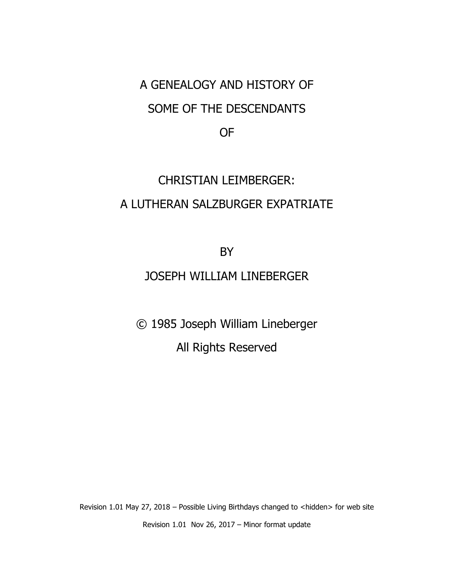## A GENEALOGY AND HISTORY OF SOME OF THE DESCENDANTS

OF

## CHRISTIAN LEIMBERGER: A LUTHERAN SALZBURGER EXPATRIATE

BY

## JOSEPH WILLIAM LINEBERGER

© 1985 Joseph William Lineberger

All Rights Reserved

Revision 1.01 May 27, 2018 – Possible Living Birthdays changed to <hidden> for web site Revision 1.01 Nov 26, 2017 – Minor format update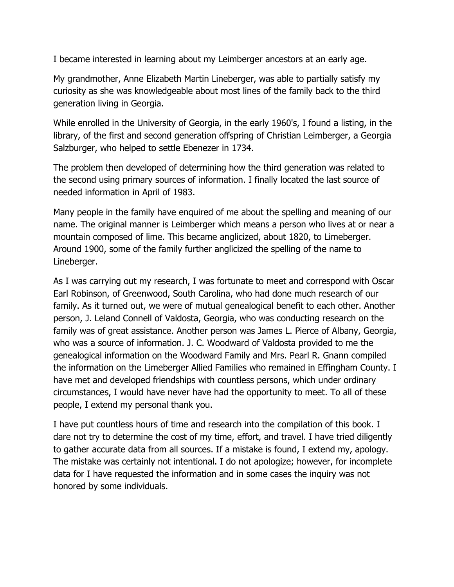I became interested in learning about my Leimberger ancestors at an early age.

My grandmother, Anne Elizabeth Martin Lineberger, was able to partially satisfy my curiosity as she was knowledgeable about most lines of the family back to the third generation living in Georgia.

While enrolled in the University of Georgia, in the early 1960's, I found a listing, in the library, of the first and second generation offspring of Christian Leimberger, a Georgia Salzburger, who helped to settle Ebenezer in 1734.

The problem then developed of determining how the third generation was related to the second using primary sources of information. I finally located the last source of needed information in April of 1983.

Many people in the family have enquired of me about the spelling and meaning of our name. The original manner is Leimberger which means a person who lives at or near a mountain composed of lime. This became anglicized, about 1820, to Limeberger. Around 1900, some of the family further anglicized the spelling of the name to Lineberger.

As I was carrying out my research, I was fortunate to meet and correspond with Oscar Earl Robinson, of Greenwood, South Carolina, who had done much research of our family. As it turned out, we were of mutual genealogical benefit to each other. Another person, J. Leland Connell of Valdosta, Georgia, who was conducting research on the family was of great assistance. Another person was James L. Pierce of Albany, Georgia, who was a source of information. J. C. Woodward of Valdosta provided to me the genealogical information on the Woodward Family and Mrs. Pearl R. Gnann compiled the information on the Limeberger Allied Families who remained in Effingham County. I have met and developed friendships with countless persons, which under ordinary circumstances, I would have never have had the opportunity to meet. To all of these people, I extend my personal thank you.

I have put countless hours of time and research into the compilation of this book. I dare not try to determine the cost of my time, effort, and travel. I have tried diligently to gather accurate data from all sources. If a mistake is found, I extend my, apology. The mistake was certainly not intentional. I do not apologize; however, for incomplete data for I have requested the information and in some cases the inquiry was not honored by some individuals.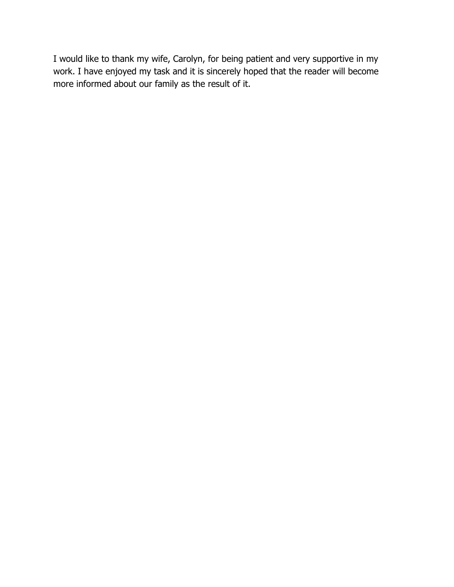I would like to thank my wife, Carolyn, for being patient and very supportive in my work. I have enjoyed my task and it is sincerely hoped that the reader will become more informed about our family as the result of it.